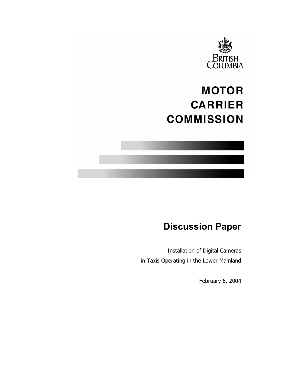

# **MOTOR CARRIER COMMISSION**

# **Discussion Paper**

Installation of Digital Cameras in Taxis Operating in the Lower Mainland

February 6, 2004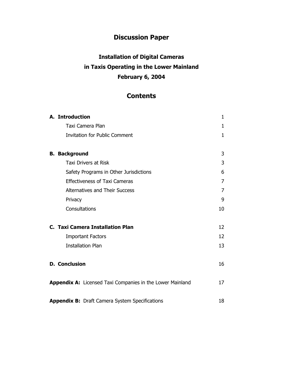## **Discussion Paper**

# **Installation of Digital Cameras in Taxis Operating in the Lower Mainland February 6, 2004**

## **Contents**

| A. Introduction                                           | 1              |
|-----------------------------------------------------------|----------------|
| Taxi Camera Plan                                          | 1              |
| <b>Invitation for Public Comment</b>                      | 1              |
| <b>B. Background</b>                                      | 3              |
| <b>Taxi Drivers at Risk</b>                               | 3              |
| Safety Programs in Other Jurisdictions                    | 6              |
| <b>Effectiveness of Taxi Cameras</b>                      | $\overline{7}$ |
| <b>Alternatives and Their Success</b>                     | $\overline{7}$ |
| Privacy                                                   | 9              |
| Consultations                                             | 10             |
| C. Taxi Camera Installation Plan                          | 12             |
| <b>Important Factors</b>                                  | 12             |
| <b>Installation Plan</b>                                  | 13             |
| <b>D. Conclusion</b>                                      | 16             |
| Appendix A: Licensed Taxi Companies in the Lower Mainland | 17             |
| <b>Appendix B:</b> Draft Camera System Specifications     | 18             |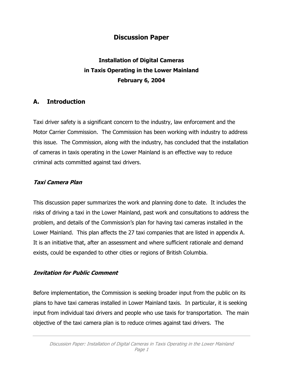## **Discussion Paper**

# **Installation of Digital Cameras in Taxis Operating in the Lower Mainland February 6, 2004**

## **A. Introduction**

Taxi driver safety is a significant concern to the industry, law enforcement and the Motor Carrier Commission. The Commission has been working with industry to address this issue. The Commission, along with the industry, has concluded that the installation of cameras in taxis operating in the Lower Mainland is an effective way to reduce criminal acts committed against taxi drivers.

#### **Taxi Camera Plan**

This discussion paper summarizes the work and planning done to date. It includes the risks of driving a taxi in the Lower Mainland, past work and consultations to address the problem, and details of the Commission's plan for having taxi cameras installed in the Lower Mainland. This plan affects the 27 taxi companies that are listed in appendix A. It is an initiative that, after an assessment and where sufficient rationale and demand exists, could be expanded to other cities or regions of British Columbia.

#### **Invitation for Public Comment**

Before implementation, the Commission is seeking broader input from the public on its plans to have taxi cameras installed in Lower Mainland taxis. In particular, it is seeking input from individual taxi drivers and people who use taxis for transportation. The main objective of the taxi camera plan is to reduce crimes against taxi drivers. The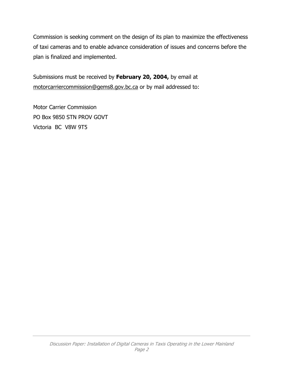Commission is seeking comment on the design of its plan to maximize the effectiveness of taxi cameras and to enable advance consideration of issues and concerns before the plan is finalized and implemented.

Submissions must be received by **February 20, 2004,** by email at [motorcarriercommission@gems8.gov.bc.ca](mailto:motorcarriercommission@gems8.gov.bc.ca) or by mail addressed to:

Motor Carrier Commission PO Box 9850 STN PROV GOVT Victoria BC V8W 9T5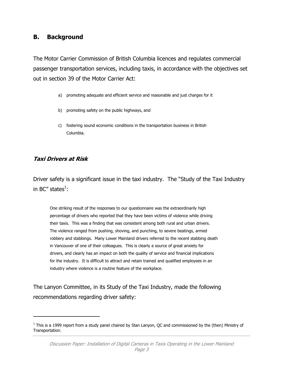#### **B. Background**

The Motor Carrier Commission of British Columbia licences and regulates commercial passenger transportation services, including taxis, in accordance with the objectives set out in section 39 of the Motor Carrier Act:

- a) promoting adequate and efficient service and reasonable and just charges for it
- b) promoting safety on the public highways, and
- c) fostering sound economic conditions in the transportation business in British Columbia.

#### **Taxi Drivers at Risk**

 $\overline{a}$ 

Driver safety is a significant issue in the taxi industry. The "Study of the Taxi Industry in BC" states $^1$  $^1$ :

One striking result of the responses to our questionnaire was the extraordinarily high percentage of drivers who reported that they have been victims of violence while driving their taxis. This was a finding that was consistent among both rural and urban drivers. The violence ranged from pushing, shoving, and punching, to severe beatings, armed robbery and stabbings. Many Lower Mainland drivers referred to the recent stabbing death in Vancouver of one of their colleagues. This is clearly a source of great anxiety for drivers, and clearly has an impact on both the quality of service and financial implications for the industry. It is difficult to attract and retain trained and qualified employees in an industry where violence is a routine feature of the workplace.

The Lanyon Committee, in its Study of the Taxi Industry, made the following recommendations regarding driver safety:

<span id="page-4-0"></span> $^1$  This is a 1999 report from a study panel chaired by Stan Lanyon, QC and commissioned by the (then) Ministry of Transportation.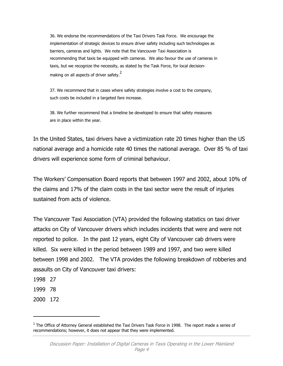36. We endorse the recommendations of the Taxi Drivers Task Force. We encourage the implementation of strategic devices to ensure driver safety including such technologies as barriers, cameras and lights. We note that the Vancouver Taxi Association is recommending that taxis be equipped with cameras. We also favour the use of cameras in taxis, but we recognize the necessity, as stated by the Task Force, for local decision-making on all aspects of driver safety.<sup>[2](#page-5-0)</sup>

37. We recommend that in cases where safety strategies involve a cost to the company, such costs be included in a targeted fare increase.

38. We further recommend that a timeline be developed to ensure that safety measures are in place within the year.

In the United States, taxi drivers have a victimization rate 20 times higher than the US national average and a homicide rate 40 times the national average. Over 85 % of taxi drivers will experience some form of criminal behaviour.

The Workers' Compensation Board reports that between 1997 and 2002, about 10% of the claims and 17% of the claim costs in the taxi sector were the result of injuries sustained from acts of violence.

The Vancouver Taxi Association (VTA) provided the following statistics on taxi driver attacks on City of Vancouver drivers which includes incidents that were and were not reported to police. In the past 12 years, eight City of Vancouver cab drivers were killed. Six were killed in the period between 1989 and 1997, and two were killed between 1998 and 2002. The VTA provides the following breakdown of robberies and assaults on City of Vancouver taxi drivers:

1998 27

1999 78

2000 172

-

<span id="page-5-0"></span> $^2$  The Office of Attorney General established the Taxi Drivers Task Force in 1998. The report made a series of recommendations; however, it does not appear that they were implemented.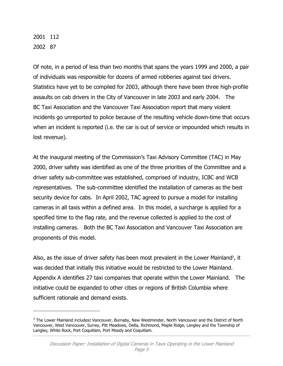2001 112 2002 87

-

Of note, in a period of less than two months that spans the years 1999 and 2000, a pair of individuals was responsible for dozens of armed robberies against taxi drivers. Statistics have yet to be compiled for 2003, although there have been three high-profile assaults on cab drivers in the City of Vancouver in late 2003 and early 2004. The BC Taxi Association and the Vancouver Taxi Association report that many violent incidents go unreported to police because of the resulting vehicle down-time that occurs when an incident is reported (i.e. the car is out of service or impounded which results in lost revenue).

At the inaugural meeting of the Commission's Taxi Advisory Committee (TAC) in May 2000, driver safety was identified as one of the three priorities of the Committee and a driver safety sub-committee was established, comprised of industry, ICBC and WCB representatives. The sub-committee identified the installation of cameras as the best security device for cabs. In April 2002, TAC agreed to pursue a model for installing cameras in all taxis within a defined area. In this model, a surcharge is applied for a specified time to the flag rate, and the revenue collected is applied to the cost of installing cameras. Both the BC Taxi Association and Vancouver Taxi Association are proponents of this model.

Also, as the issue of driver safety has been most prevalent in the Lower Mainland<sup>3</sup>, it was decided that initially this initiative would be restricted to the Lower Mainland. Appendix A identifies 27 taxi companies that operate within the Lower Mainland. The initiative could be expanded to other cities or regions of British Columbia where sufficient rationale and demand exists.

<span id="page-6-0"></span><sup>3</sup> The Lower Mainland includes**:** Vancouver, Burnaby, New Westminster, North Vancouver and the District of North Vancouver, West Vancouver, Surrey, Pitt Meadows, Delta, Richmond, Maple Ridge, Langley and the Township of Langley, White Rock, Port Coquitlam, Port Moody and Coquitlam.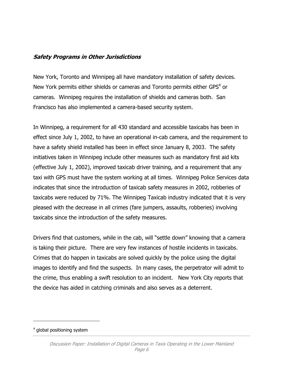#### **Safety Programs in Other Jurisdictions**

New York, Toronto and Winnipeg all have mandatory installation of safety devices. New York permits either shields or cameras and Toronto permits either GPS $4$  or cameras. Winnipeg requires the installation of shields and cameras both. San Francisco has also implemented a camera-based security system.

In Winnipeg, a requirement for all 430 standard and accessible taxicabs has been in effect since July 1, 2002, to have an operational in-cab camera, and the requirement to have a safety shield installed has been in effect since January 8, 2003. The safety initiatives taken in Winnipeg include other measures such as mandatory first aid kits (effective July 1, 2002), improved taxicab driver training, and a requirement that any taxi with GPS must have the system working at all times. Winnipeg Police Services data indicates that since the introduction of taxicab safety measures in 2002, robberies of taxicabs were reduced by 71%. The Winnipeg Taxicab industry indicated that it is very pleased with the decrease in all crimes (fare jumpers, assaults, robberies) involving taxicabs since the introduction of the safety measures.

Drivers find that customers, while in the cab, will "settle down" knowing that a camera is taking their picture. There are very few instances of hostile incidents in taxicabs. Crimes that do happen in taxicabs are solved quickly by the police using the digital images to identify and find the suspects. In many cases, the perpetrator will admit to the crime, thus enabling a swift resolution to an incident. New York City reports that the device has aided in catching criminals and also serves as a deterrent.

 $\overline{a}$ 

<span id="page-7-0"></span><sup>&</sup>lt;sup>4</sup> global positioning system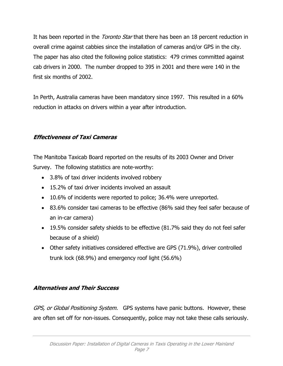It has been reported in the *Toronto Star* that there has been an 18 percent reduction in overall crime against cabbies since the installation of cameras and/or GPS in the city. The paper has also cited the following police statistics: 479 crimes committed against cab drivers in 2000. The number dropped to 395 in 2001 and there were 140 in the first six months of 2002.

In Perth, Australia cameras have been mandatory since 1997. This resulted in a 60% reduction in attacks on drivers within a year after introduction.

#### **Effectiveness of Taxi Cameras**

The Manitoba Taxicab Board reported on the results of its 2003 Owner and Driver Survey. The following statistics are note-worthy:

- 3.8% of taxi driver incidents involved robbery
- 15.2% of taxi driver incidents involved an assault
- 10.6% of incidents were reported to police; 36.4% were unreported.
- 83.6% consider taxi cameras to be effective (86% said they feel safer because of an in-car camera)
- 19.5% consider safety shields to be effective (81.7% said they do not feel safer because of a shield)
- Other safety initiatives considered effective are GPS (71.9%), driver controlled trunk lock (68.9%) and emergency roof light (56.6%)

## **Alternatives and Their Success**

GPS, or Global Positioning System. GPS systems have panic buttons. However, these are often set off for non-issues. Consequently, police may not take these calls seriously.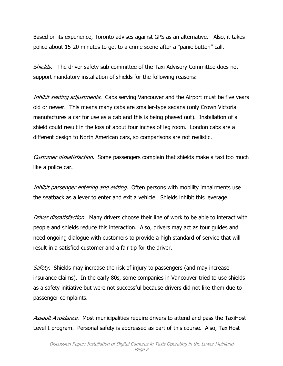Based on its experience, Toronto advises against GPS as an alternative. Also, it takes police about 15-20 minutes to get to a crime scene after a "panic button" call.

Shields. The driver safety sub-committee of the Taxi Advisory Committee does not support mandatory installation of shields for the following reasons:

Inhibit seating adjustments. Cabs serving Vancouver and the Airport must be five years old or newer. This means many cabs are smaller-type sedans (only Crown Victoria manufactures a car for use as a cab and this is being phased out). Installation of a shield could result in the loss of about four inches of leg room. London cabs are a different design to North American cars, so comparisons are not realistic.

Customer dissatisfaction. Some passengers complain that shields make a taxi too much like a police car.

Inhibit passenger entering and exiting. Often persons with mobility impairments use the seatback as a lever to enter and exit a vehicle. Shields inhibit this leverage.

Driver dissatisfaction. Many drivers choose their line of work to be able to interact with people and shields reduce this interaction. Also, drivers may act as tour guides and need ongoing dialogue with customers to provide a high standard of service that will result in a satisfied customer and a fair tip for the driver.

Safety. Shields may increase the risk of injury to passengers (and may increase insurance claims). In the early 80s, some companies in Vancouver tried to use shields as a safety initiative but were not successful because drivers did not like them due to passenger complaints.

Assault Avoidance. Most municipalities require drivers to attend and pass the TaxiHost Level I program. Personal safety is addressed as part of this course. Also, TaxiHost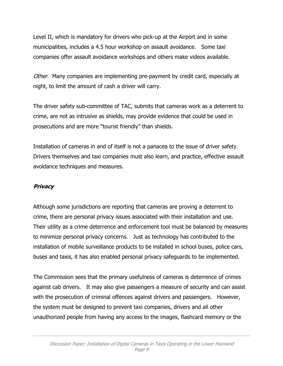Level II, which is mandatory for drivers who pick-up at the Airport and in some municipalities, includes a 4.5 hour workshop on assault avoidance. Some taxi companies offer assault avoidance workshops and others make videos available.

Other. Many companies are implementing pre-payment by credit card, especially at night, to limit the amount of cash a driver will carry.

The driver safety sub-committee of TAC, submits that cameras work as a deterrent to crime, are not as intrusive as shields, may provide evidence that could be used in prosecutions and are more "tourist friendly" than shields.

Installation of cameras in and of itself is not a panacea to the issue of driver safety. Drivers themselves and taxi companies must also learn, and practice, effective assault avoidance techniques and measures.

#### **Privacy**

Although some jurisdictions are reporting that cameras are proving a deterrent to crime, there are personal privacy issues associated with their installation and use. Their utility as a crime deterrence and enforcement tool must be balanced by measures to minimize personal privacy concerns. Just as technology has contributed to the installation of mobile surveillance products to be installed in school buses, police cars, buses and taxis, it has also enabled personal privacy safeguards to be implemented.

The Commission sees that the primary usefulness of cameras is deterrence of crimes against cab drivers. It may also give passengers a measure of security and can assist with the prosecution of criminal offences against drivers and passengers. However, the system must be designed to prevent taxi companies, drivers and all other unauthorized people from having any access to the images, flashcard memory or the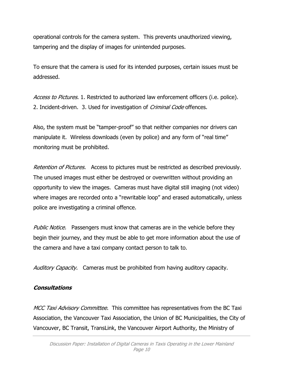operational controls for the camera system. This prevents unauthorized viewing, tampering and the display of images for unintended purposes.

To ensure that the camera is used for its intended purposes, certain issues must be addressed.

Access to Pictures. 1. Restricted to authorized law enforcement officers (i.e. police). 2. Incident-driven. 3. Used for investigation of *Criminal Code* offences.

Also, the system must be "tamper-proof" so that neither companies nor drivers can manipulate it. Wireless downloads (even by police) and any form of "real time" monitoring must be prohibited.

Retention of Pictures. Access to pictures must be restricted as described previously. The unused images must either be destroyed or overwritten without providing an opportunity to view the images. Cameras must have digital still imaging (not video) where images are recorded onto a "rewritable loop" and erased automatically, unless police are investigating a criminal offence.

Public Notice. Passengers must know that cameras are in the vehicle before they begin their journey, and they must be able to get more information about the use of the camera and have a taxi company contact person to talk to.

Auditory Capacity. Cameras must be prohibited from having auditory capacity.

#### **Consultations**

MCC Taxi Advisory Committee. This committee has representatives from the BC Taxi Association, the Vancouver Taxi Association, the Union of BC Municipalities, the City of Vancouver, BC Transit, TransLink, the Vancouver Airport Authority, the Ministry of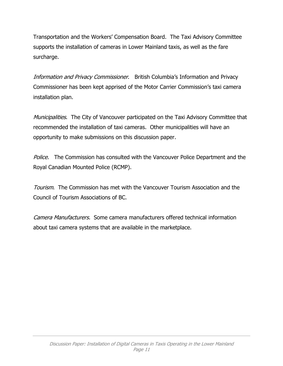Transportation and the Workers' Compensation Board. The Taxi Advisory Committee supports the installation of cameras in Lower Mainland taxis, as well as the fare surcharge.

Information and Privacy Commissioner. British Columbia's Information and Privacy Commissioner has been kept apprised of the Motor Carrier Commission's taxi camera installation plan.

Municipalities. The City of Vancouver participated on the Taxi Advisory Committee that recommended the installation of taxi cameras. Other municipalities will have an opportunity to make submissions on this discussion paper.

Police. The Commission has consulted with the Vancouver Police Department and the Royal Canadian Mounted Police (RCMP).

Tourism. The Commission has met with the Vancouver Tourism Association and the Council of Tourism Associations of BC.

Camera Manufacturers. Some camera manufacturers offered technical information about taxi camera systems that are available in the marketplace.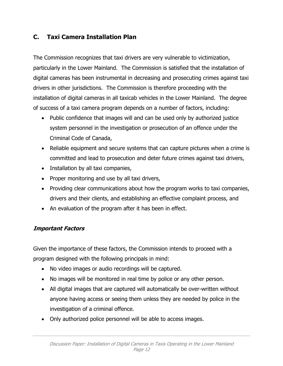## **C. Taxi Camera Installation Plan**

The Commission recognizes that taxi drivers are very vulnerable to victimization, particularly in the Lower Mainland. The Commission is satisfied that the installation of digital cameras has been instrumental in decreasing and prosecuting crimes against taxi drivers in other jurisdictions. The Commission is therefore proceeding with the installation of digital cameras in all taxicab vehicles in the Lower Mainland. The degree of success of a taxi camera program depends on a number of factors, including:

- Public confidence that images will and can be used only by authorized justice system personnel in the investigation or prosecution of an offence under the Criminal Code of Canada,
- Reliable equipment and secure systems that can capture pictures when a crime is committed and lead to prosecution and deter future crimes against taxi drivers,
- Installation by all taxi companies,
- Proper monitoring and use by all taxi drivers,
- Providing clear communications about how the program works to taxi companies, drivers and their clients, and establishing an effective complaint process, and
- An evaluation of the program after it has been in effect.

## **Important Factors**

Given the importance of these factors, the Commission intends to proceed with a program designed with the following principals in mind:

- No video images or audio recordings will be captured.
- No images will be monitored in real time by police or any other person.
- All digital images that are captured will automatically be over-written without anyone having access or seeing them unless they are needed by police in the investigation of a criminal offence.
- Only authorized police personnel will be able to access images.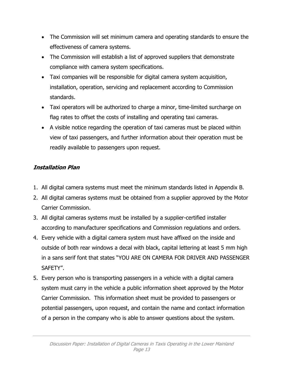- The Commission will set minimum camera and operating standards to ensure the effectiveness of camera systems.
- The Commission will establish a list of approved suppliers that demonstrate compliance with camera system specifications.
- Taxi companies will be responsible for digital camera system acquisition, installation, operation, servicing and replacement according to Commission standards.
- Taxi operators will be authorized to charge a minor, time-limited surcharge on flag rates to offset the costs of installing and operating taxi cameras.
- A visible notice regarding the operation of taxi cameras must be placed within view of taxi passengers, and further information about their operation must be readily available to passengers upon request.

## **Installation Plan**

- 1. All digital camera systems must meet the minimum standards listed in Appendix B.
- 2. All digital cameras systems must be obtained from a supplier approved by the Motor Carrier Commission.
- 3. All digital cameras systems must be installed by a supplier-certified installer according to manufacturer specifications and Commission regulations and orders.
- 4. Every vehicle with a digital camera system must have affixed on the inside and outside of both rear windows a decal with black, capital lettering at least 5 mm high in a sans serif font that states "YOU ARE ON CAMERA FOR DRIVER AND PASSENGER SAFETY".
- 5. Every person who is transporting passengers in a vehicle with a digital camera system must carry in the vehicle a public information sheet approved by the Motor Carrier Commission. This information sheet must be provided to passengers or potential passengers, upon request, and contain the name and contact information of a person in the company who is able to answer questions about the system.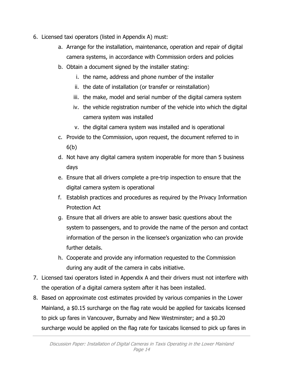- 6. Licensed taxi operators (listed in Appendix A) must:
	- a. Arrange for the installation, maintenance, operation and repair of digital camera systems, in accordance with Commission orders and policies
	- b. Obtain a document signed by the installer stating:
		- i. the name, address and phone number of the installer
		- ii. the date of installation (or transfer or reinstallation)
		- iii. the make, model and serial number of the digital camera system
		- iv. the vehicle registration number of the vehicle into which the digital camera system was installed
		- v. the digital camera system was installed and is operational
	- c. Provide to the Commission, upon request, the document referred to in 6(b)
	- d. Not have any digital camera system inoperable for more than 5 business days
	- e. Ensure that all drivers complete a pre-trip inspection to ensure that the digital camera system is operational
	- f. Establish practices and procedures as required by the Privacy Information Protection Act
	- g. Ensure that all drivers are able to answer basic questions about the system to passengers, and to provide the name of the person and contact information of the person in the licensee's organization who can provide further details.
	- h. Cooperate and provide any information requested to the Commission during any audit of the camera in cabs initiative.
- 7. Licensed taxi operators listed in Appendix A and their drivers must not interfere with the operation of a digital camera system after it has been installed.
- 8. Based on approximate cost estimates provided by various companies in the Lower Mainland, a \$0.15 surcharge on the flag rate would be applied for taxicabs licensed to pick up fares in Vancouver, Burnaby and New Westminster; and a \$0.20 surcharge would be applied on the flag rate for taxicabs licensed to pick up fares in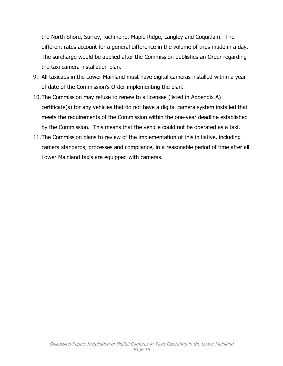the North Shore, Surrey, Richmond, Maple Ridge, Langley and Coquitlam. The different rates account for a general difference in the volume of trips made in a day. The surcharge would be applied after the Commission publishes an Order regarding the taxi camera installation plan.

- 9. All taxicabs in the Lower Mainland must have digital cameras installed within a year of date of the Commission's Order implementing the plan.
- 10.The Commission may refuse to renew to a licensee (listed in Appendix A) certificate(s) for any vehicles that do not have a digital camera system installed that meets the requirements of the Commission within the one-year deadline established by the Commission. This means that the vehicle could not be operated as a taxi.
- 11.The Commission plans to review of the implementation of this initiative, including camera standards, processes and compliance, in a reasonable period of time after all Lower Mainland taxis are equipped with cameras.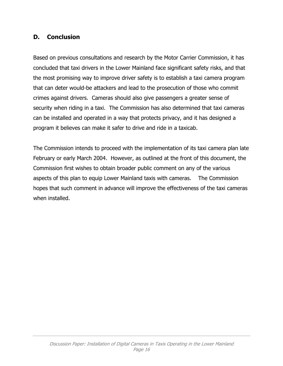## **D. Conclusion**

Based on previous consultations and research by the Motor Carrier Commission, it has concluded that taxi drivers in the Lower Mainland face significant safety risks, and that the most promising way to improve driver safety is to establish a taxi camera program that can deter would-be attackers and lead to the prosecution of those who commit crimes against drivers. Cameras should also give passengers a greater sense of security when riding in a taxi. The Commission has also determined that taxi cameras can be installed and operated in a way that protects privacy, and it has designed a program it believes can make it safer to drive and ride in a taxicab.

The Commission intends to proceed with the implementation of its taxi camera plan late February or early March 2004. However, as outlined at the front of this document, the Commission first wishes to obtain broader public comment on any of the various aspects of this plan to equip Lower Mainland taxis with cameras. The Commission hopes that such comment in advance will improve the effectiveness of the taxi cameras when installed.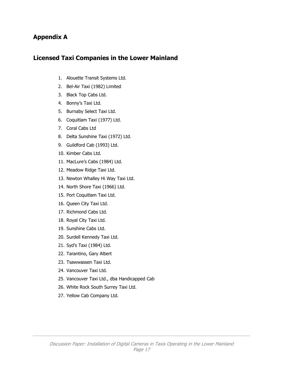#### **Appendix A**

#### **Licensed Taxi Companies in the Lower Mainland**

- 1. Alouette Transit Systems Ltd.
- 2. Bel-Air Taxi (1982) Limited
- 3. Black Top Cabs Ltd.
- 4. Bonny's Taxi Ltd.
- 5. Burnaby Select Taxi Ltd.
- 6. Coquitlam Taxi (1977) Ltd.
- 7. Coral Cabs Ltd
- 8. Delta Sunshine Taxi (1972) Ltd.
- 9. Guildford Cab (1993) Ltd.
- 10. Kimber Cabs Ltd.
- 11. MacLure's Cabs (1984) Ltd.
- 12. Meadow Ridge Taxi Ltd.
- 13. Newton Whalley Hi Way Taxi Ltd.
- 14. North Shore Taxi (1966) Ltd.
- 15. Port Coquitlam Taxi Ltd.
- 16. Queen City Taxi Ltd.
- 17. Richmond Cabs Ltd.
- 18. Royal City Taxi Ltd.
- 19. Sunshine Cabs Ltd.
- 20. Surdell Kennedy Taxi Ltd.
- 21. Syd's Taxi (1984) Ltd.
- 22. Tarantino, Gary Albert
- 23. Tsawwassen Taxi Ltd.
- 24. Vancouver Taxi Ltd.
- 25. Vancouver Taxi Ltd., dba Handicapped Cab
- 26. White Rock South Surrey Taxi Ltd.
- 27. Yellow Cab Company Ltd.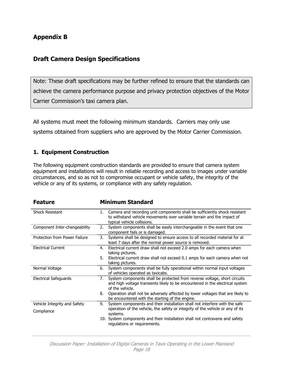## **Appendix B**

## **Draft Camera Design Specifications**

Note: These draft specifications may be further refined to ensure that the standards can achieve the camera performance purpose and privacy protection objectives of the Motor Carrier Commission's taxi camera plan.

All systems must meet the following minimum standards. Carriers may only use systems obtained from suppliers who are approved by the Motor Carrier Commission.

#### **1. Equipment Construction**

The following equipment construction standards are provided to ensure that camera system equipment and installations will result in reliable recording and access to images under variable circumstances, and so as not to compromise occupant or vehicle safety, the integrity of the vehicle or any of its systems, or compliance with any safety regulation.

| <b>Feature</b>                       |    | <b>Minimum Standard</b>                                                                                                                                                             |  |  |
|--------------------------------------|----|-------------------------------------------------------------------------------------------------------------------------------------------------------------------------------------|--|--|
| <b>Shock Resistant</b>               | 1. | Camera and recording unit components shall be sufficiently shock resistant<br>to withstand vehicle movements over variable terrain and the impact of<br>typical vehicle collisions. |  |  |
| Component Inter-changeability        | 2. | System components shall be easily interchangeable in the event that one<br>component fails or is damaged.                                                                           |  |  |
| <b>Protection from Power Failure</b> | 3. | Systems shall be designed to ensure access to all recorded material for at<br>least 7 days after the normal power source is removed.                                                |  |  |
| <b>Flectrical Current</b>            | 4. | Electrical current draw shall not exceed 2.0 amps for each camera when<br>taking pictures.                                                                                          |  |  |
|                                      | 5. | Electrical current draw shall not exceed 0.1 amps for each camera when not<br>taking pictures.                                                                                      |  |  |
| Normal Voltage                       | 6. | System components shall be fully operational within normal input voltages<br>of vehicles operated as taxicabs.                                                                      |  |  |
| <b>Electrical Safeguards</b>         | 7. | System components shall be protected from reverse voltage, short circuits<br>and high voltage transients likely to be encountered in the electrical system<br>of the vehicle.       |  |  |
|                                      | 8. | Operation shall not be adversely affected by lower voltages that are likely to<br>be encountered with the starting of the engine.                                                   |  |  |
| Vehicle Integrity and Safety         | 9. | System components and their installation shall not interfere with the safe<br>operation of the vehicle, the safety or integrity of the vehicle or any of its                        |  |  |
| Compliance                           |    | systems.<br>10. System components and their installation shall not contravene and safety<br>regulations or requirements.                                                            |  |  |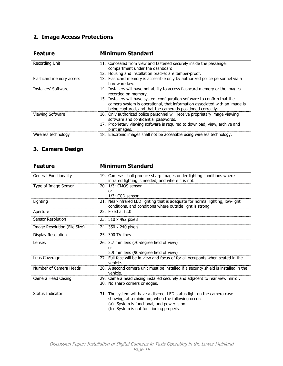## **2. Image Access Protections**

| <b>Feature</b>          | <b>Minimum Standard</b>                                                                                                                                                                                                                                                                                                          |
|-------------------------|----------------------------------------------------------------------------------------------------------------------------------------------------------------------------------------------------------------------------------------------------------------------------------------------------------------------------------|
| Recording Unit          | 11. Concealed from view and fastened securely inside the passenger<br>compartment under the dashboard.<br>12. Housing and installation bracket are tamper-proof.                                                                                                                                                                 |
| Flashcard memory access | 13. Flashcard memory is accessible only by authorized police personnel via a<br>hardware key.                                                                                                                                                                                                                                    |
| Installers' Software    | 14. Installers will have not ability to access flashcard memory or the images<br>recorded on memory.<br>15. Installers will have system configuration software to confirm that the<br>camera system is operational, that information associated with an image is<br>being captured, and that the camera is positioned correctly. |
| <b>Viewing Software</b> | 16. Only authorized police personnel will receive proprietary image viewing<br>software and confidential passwords.<br>17. Proprietary viewing software is required to download, view, archive and<br>print images.                                                                                                              |
| Wireless technology     | 18. Electronic images shall not be accessible using wireless technology.                                                                                                                                                                                                                                                         |

## **3. Camera Design**

| <b>Feature</b>               | <b>Minimum Standard</b>                                                                                                                                                                                              |  |  |  |
|------------------------------|----------------------------------------------------------------------------------------------------------------------------------------------------------------------------------------------------------------------|--|--|--|
| <b>General Functionality</b> | 19. Cameras shall produce sharp images under lighting conditions where<br>infrared lighting is needed, and where it is not.                                                                                          |  |  |  |
| Type of Image Sensor         | 20. 1/3" CMOS sensor<br>or<br>1/3" CCD sensor.                                                                                                                                                                       |  |  |  |
| Lighting                     | 21. Near-infrared LED lighting that is adequate for normal lighting, low-light<br>conditions, and conditions where outside light is strong.                                                                          |  |  |  |
| Aperture                     | 22. Fixed at f2.0                                                                                                                                                                                                    |  |  |  |
| <b>Sensor Resolution</b>     | 23. 510 x 492 pixels                                                                                                                                                                                                 |  |  |  |
| Image Resolution (File Size) | 24. 350 x 240 pixels                                                                                                                                                                                                 |  |  |  |
| Display Resolution           | 25. 300 TV lines                                                                                                                                                                                                     |  |  |  |
| Lenses                       | 26. 3.7 mm lens (70-degree field of view)<br>Ωr<br>2.9 mm lens (90-degree field of view)                                                                                                                             |  |  |  |
| Lens Coverage                | 27. Full face will be in view and focus of for all occupants when seated in the<br>vehicle.                                                                                                                          |  |  |  |
| Number of Camera Heads       | 28. A second camera unit must be installed if a security shield is installed in the<br>vehicle.                                                                                                                      |  |  |  |
| Camera Head Casing           | 29. Camera head casing installed securely and adjacent to rear view mirror.<br>30. No sharp corners or edges.                                                                                                        |  |  |  |
| <b>Status Indicator</b>      | 31. The system will have a discreet LED status light on the camera case<br>showing, at a minimum, when the following occur:<br>(a) System is functional, and power is on.<br>(b) System is not functioning properly. |  |  |  |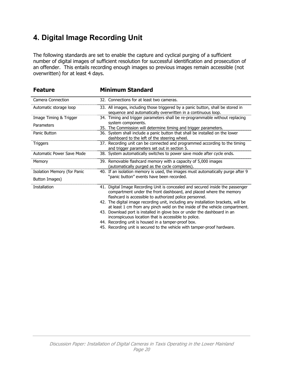# **4. Digital Image Recording Unit**

The following standards are set to enable the capture and cyclical purging of a sufficient number of digital images of sufficient resolution for successful identification and prosecution of an offender. This entails recording enough images so previous images remain accessible (not overwritten) for at least 4 days.

| <b>Feature</b>                   | <b>Minimum Standard</b>                                                                                                                                                                                         |
|----------------------------------|-----------------------------------------------------------------------------------------------------------------------------------------------------------------------------------------------------------------|
| <b>Camera Connection</b>         | 32. Connections for at least two cameras.                                                                                                                                                                       |
| Automatic storage loop           | 33. All images, including those triggered by a panic button, shall be stored in<br>sequence and automatically overwritten in a continuous loop.                                                                 |
| Image Timing & Trigger           | 34. Timing and trigger parameters shall be re-programmable without replacing<br>system components.                                                                                                              |
| Parameters                       | 35. The Commission will determine timing and trigger parameters.                                                                                                                                                |
| Panic Button                     | 36. System shall include a panic button that shall be installed on the lower<br>dashboard to the left of the steering wheel.                                                                                    |
| Triggers                         | 37. Recording unit can be connected and programmed according to the timing<br>and trigger parameters set out in section 5.                                                                                      |
| <b>Automatic Power Save Mode</b> | 38. System automatically switches to power save mode after cycle ends.                                                                                                                                          |
| Memory                           | 39. Removable flashcard memory with a capacity of 5,000 images<br>(automatically purged as the cycle completes).                                                                                                |
| Isolation Memory (for Panic      | 40. If an isolation memory is used, the images must automatically purge after 9                                                                                                                                 |
| Button Images)                   | "panic button" events have been recorded.                                                                                                                                                                       |
| <b>Installation</b>              | 41. Digital Image Recording Unit is concealed and secured inside the passenger<br>compartment under the front dashboard, and placed where the memory<br>flashcard is accessible to authorized police personnel. |
|                                  | 42. The digital image recording unit, including any installation brackets, will be<br>at least 1 cm from any pinch weld on the inside of the vehicle compartment.                                               |
|                                  | 43. Download port is installed in glove box or under the dashboard in an<br>inconspicuous location that is accessible to police.                                                                                |
|                                  | 44. Recording unit is housed in a tamper-proof box.                                                                                                                                                             |
|                                  | 45. Recording unit is secured to the vehicle with tamper-proof hardware.                                                                                                                                        |